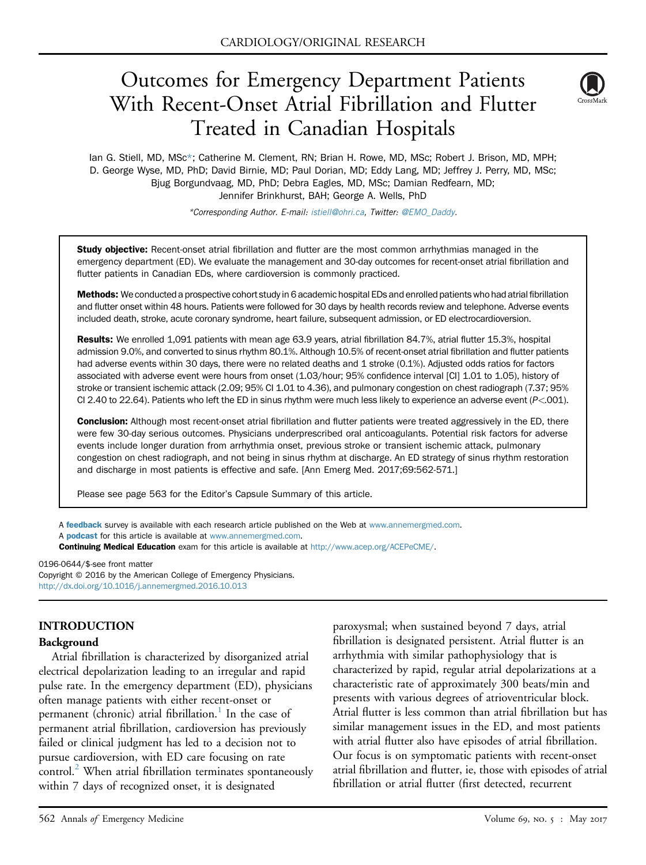# Outcomes for Emergency Department Patients With Recent-Onset Atrial Fibrillation and Flutter Treated in Canadian Hospitals



Ian G. Stiell, MD, MSc\*; Catherine M. Clement, RN; Brian H. Rowe, MD, MSc; Robert J. Brison, MD, MPH; D. George Wyse, MD, PhD; David Birnie, MD; Paul Dorian, MD; Eddy Lang, MD; Jeffrey J. Perry, MD, MSc; Bjug Borgundvaag, MD, PhD; Debra Eagles, MD, MSc; Damian Redfearn, MD; Jennifer Brinkhurst, BAH; George A. Wells, PhD

\*Corresponding Author. E-mail: [istiell@ohri.ca,](mailto:istiell@ohri.ca) Twitter: [@EMO\\_Daddy.](mailto:@EMO_Daddy)

Study objective: Recent-onset atrial fibrillation and flutter are the most common arrhythmias managed in the emergency department (ED). We evaluate the management and 30-day outcomes for recent-onset atrial fibrillation and flutter patients in Canadian EDs, where cardioversion is commonly practiced.

Methods: We conducted a prospective cohort study in 6 academic hospital EDs and enrolled patients who had atrial fibrillation and flutter onset within 48 hours. Patients were followed for 30 days by health records review and telephone. Adverse events included death, stroke, acute coronary syndrome, heart failure, subsequent admission, or ED electrocardioversion.

Results: We enrolled 1,091 patients with mean age 63.9 years, atrial fibrillation 84.7%, atrial flutter 15.3%, hospital admission 9.0%, and converted to sinus rhythm 80.1%. Although 10.5% of recent-onset atrial fibrillation and flutter patients had adverse events within 30 days, there were no related deaths and 1 stroke (0.1%). Adjusted odds ratios for factors associated with adverse event were hours from onset (1.03/hour; 95% confidence interval [CI] 1.01 to 1.05), history of stroke or transient ischemic attack (2.09; 95% CI 1.01 to 4.36), and pulmonary congestion on chest radiograph (7.37; 95% CI 2.40 to 22.64). Patients who left the ED in sinus rhythm were much less likely to experience an adverse event (P<.001).

Conclusion: Although most recent-onset atrial fibrillation and flutter patients were treated aggressively in the ED, there were few 30-day serious outcomes. Physicians underprescribed oral anticoagulants. Potential risk factors for adverse events include longer duration from arrhythmia onset, previous stroke or transient ischemic attack, pulmonary congestion on chest radiograph, and not being in sinus rhythm at discharge. An ED strategy of sinus rhythm restoration and discharge in most patients is effective and safe. [Ann Emerg Med. 2017;69:562-571.]

Please see page 563 for the Editor's Capsule Summary of this article.

A **[feedback](https://www.surveymonkey.com/r/5WCTTV5)** survey is available with each research article published on the Web at [www.annemergmed.com.](http://www.annemergmed.com) A **[podcast](http://annemergmed.com/content/podcast)** for this article is available at [www.annemergmed.com](http://www.annemergmed.com).

Continuing Medical Education exam for this article is available at <http://www.acep.org/ACEPeCME/>.

0196-0644/\$-see front matter Copyright © 2016 by the American College of Emergency Physicians. <http://dx.doi.org/10.1016/j.annemergmed.2016.10.013>

## INTRODUCTION

#### Background

Atrial fibrillation is characterized by disorganized atrial electrical depolarization leading to an irregular and rapid pulse rate. In the emergency department (ED), physicians often manage patients with either recent-onset or permanent (chronic) atrial fibrillation.<sup>1</sup> In the case of permanent atrial fibrillation, cardioversion has previously failed or clinical judgment has led to a decision not to pursue cardioversion, with ED care focusing on rate control. $^{2}$  $^{2}$  $^{2}$  When atrial fibrillation terminates spontaneously within 7 days of recognized onset, it is designated

paroxysmal; when sustained beyond 7 days, atrial fibrillation is designated persistent. Atrial flutter is an arrhythmia with similar pathophysiology that is characterized by rapid, regular atrial depolarizations at a characteristic rate of approximately 300 beats/min and presents with various degrees of atrioventricular block. Atrial flutter is less common than atrial fibrillation but has similar management issues in the ED, and most patients with atrial flutter also have episodes of atrial fibrillation. Our focus is on symptomatic patients with recent-onset atrial fibrillation and flutter, ie, those with episodes of atrial fibrillation or atrial flutter (first detected, recurrent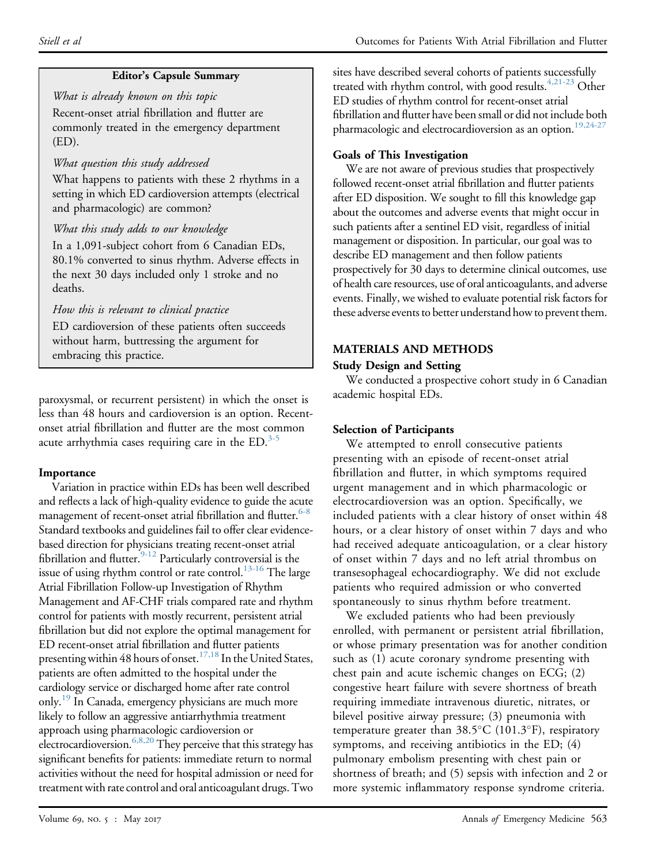# Editor's Capsule Summary

What is already known on this topic Recent-onset atrial fibrillation and flutter are commonly treated in the emergency department (ED).

# What question this study addressed

What happens to patients with these 2 rhythms in a setting in which ED cardioversion attempts (electrical and pharmacologic) are common?

# What this study adds to our knowledge

In a 1,091-subject cohort from 6 Canadian EDs, 80.1% converted to sinus rhythm. Adverse effects in the next 30 days included only 1 stroke and no deaths.

How this is relevant to clinical practice

ED cardioversion of these patients often succeeds without harm, buttressing the argument for embracing this practice.

paroxysmal, or recurrent persistent) in which the onset is less than 48 hours and cardioversion is an option. Recentonset atrial fibrillation and flutter are the most common acute arrhythmia cases requiring care in the  $ED$ .<sup>[3-5](#page-9-0)</sup>

# Importance

Variation in practice within EDs has been well described and reflects a lack of high-quality evidence to guide the acute management of recent-onset atrial fibrillation and flutter.<sup>6-8</sup> Standard textbooks and guidelines fail to offer clear evidencebased direction for physicians treating recent-onset atrial fibrillation and flutter.<sup>9-12</sup> Particularly controversial is the issue of using rhythm control or rate control.<sup>13-16</sup> The large Atrial Fibrillation Follow-up Investigation of Rhythm Management and AF-CHF trials compared rate and rhythm control for patients with mostly recurrent, persistent atrial fibrillation but did not explore the optimal management for ED recent-onset atrial fibrillation and flutter patients presenting within 48 hours of onset.<sup>17,18</sup> In the United States, patients are often admitted to the hospital under the cardiology service or discharged home after rate control only.<sup>[19](#page-9-5)</sup> In Canada, emergency physicians are much more likely to follow an aggressive antiarrhythmia treatment approach using pharmacologic cardioversion or electrocardioversion.<sup>6,8,20</sup> They perceive that this strategy has significant benefits for patients: immediate return to normal activities without the need for hospital admission or need for treatment with rate control and oral anticoagulant drugs. Two

sites have described several cohorts of patients successfully treated with rhythm control, with good results.<sup>4,21-23</sup> Other ED studies of rhythm control for recent-onset atrial fibrillation and flutter have been small or did not include both pharmacologic and electrocardioversion as an option.<sup>19,24-27</sup>

# Goals of This Investigation

We are not aware of previous studies that prospectively followed recent-onset atrial fibrillation and flutter patients after ED disposition. We sought to fill this knowledge gap about the outcomes and adverse events that might occur in such patients after a sentinel ED visit, regardless of initial management or disposition. In particular, our goal was to describe ED management and then follow patients prospectively for 30 days to determine clinical outcomes, use of health care resources, use of oral anticoagulants, and adverse events. Finally, we wished to evaluate potential risk factors for these adverse events to better understand how to prevent them.

# MATERIALS AND METHODS

# Study Design and Setting

We conducted a prospective cohort study in 6 Canadian academic hospital EDs.

# Selection of Participants

We attempted to enroll consecutive patients presenting with an episode of recent-onset atrial fibrillation and flutter, in which symptoms required urgent management and in which pharmacologic or electrocardioversion was an option. Specifically, we included patients with a clear history of onset within 48 hours, or a clear history of onset within 7 days and who had received adequate anticoagulation, or a clear history of onset within 7 days and no left atrial thrombus on transesophageal echocardiography. We did not exclude patients who required admission or who converted spontaneously to sinus rhythm before treatment.

We excluded patients who had been previously enrolled, with permanent or persistent atrial fibrillation, or whose primary presentation was for another condition such as (1) acute coronary syndrome presenting with chest pain and acute ischemic changes on ECG; (2) congestive heart failure with severe shortness of breath requiring immediate intravenous diuretic, nitrates, or bilevel positive airway pressure; (3) pneumonia with temperature greater than  $38.5^{\circ}$ C (101.3°F), respiratory symptoms, and receiving antibiotics in the ED; (4) pulmonary embolism presenting with chest pain or shortness of breath; and (5) sepsis with infection and 2 or more systemic inflammatory response syndrome criteria.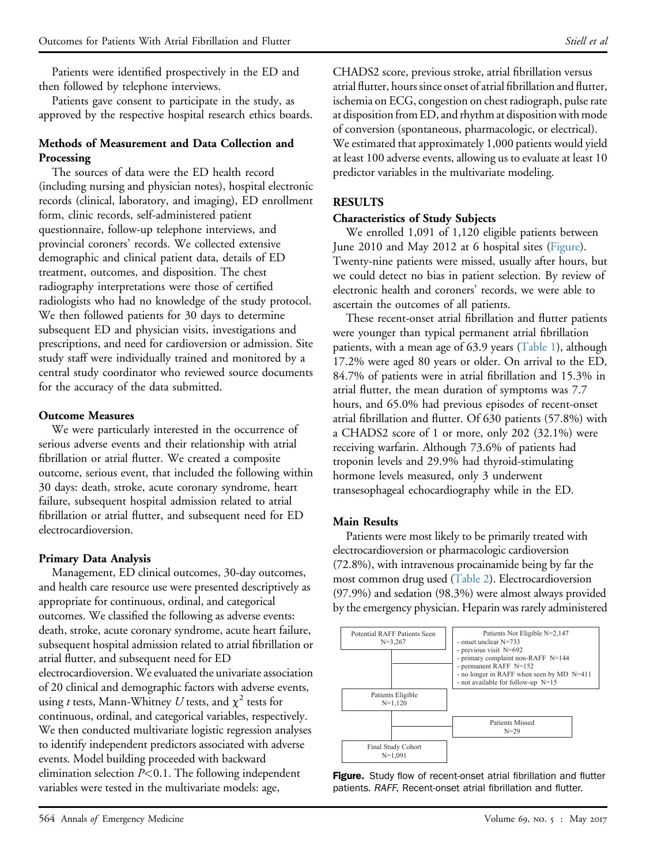Patients were identified prospectively in the ED and then followed by telephone interviews.

Patients gave consent to participate in the study, as approved by the respective hospital research ethics boards.

#### Methods of Measurement and Data Collection and Processing

The sources of data were the ED health record (including nursing and physician notes), hospital electronic records (clinical, laboratory, and imaging), ED enrollment form, clinic records, self-administered patient questionnaire, follow-up telephone interviews, and provincial coroners' records. We collected extensive demographic and clinical patient data, details of ED treatment, outcomes, and disposition. The chest radiography interpretations were those of certified radiologists who had no knowledge of the study protocol. We then followed patients for 30 days to determine subsequent ED and physician visits, investigations and prescriptions, and need for cardioversion or admission. Site study staff were individually trained and monitored by a central study coordinator who reviewed source documents for the accuracy of the data submitted.

## Outcome Measures

We were particularly interested in the occurrence of serious adverse events and their relationship with atrial fibrillation or atrial flutter. We created a composite outcome, serious event, that included the following within 30 days: death, stroke, acute coronary syndrome, heart failure, subsequent hospital admission related to atrial fibrillation or atrial flutter, and subsequent need for ED electrocardioversion.

## Primary Data Analysis

Management, ED clinical outcomes, 30-day outcomes, and health care resource use were presented descriptively as appropriate for continuous, ordinal, and categorical outcomes. We classified the following as adverse events: death, stroke, acute coronary syndrome, acute heart failure, subsequent hospital admission related to atrial fibrillation or atrial flutter, and subsequent need for ED electrocardioversion. We evaluated the univariate association of 20 clinical and demographic factors with adverse events, using t tests, Mann-Whitney U tests, and  $\chi^2$  tests for continuous, ordinal, and categorical variables, respectively. We then conducted multivariate logistic regression analyses to identify independent predictors associated with adverse events. Model building proceeded with backward elimination selection  $P<0.1$ . The following independent variables were tested in the multivariate models: age,

CHADS2 score, previous stroke, atrial fibrillation versus atrial flutter, hours since onset of atrial fibrillation and flutter, ischemia on ECG, congestion on chest radiograph, pulse rate at disposition from ED, and rhythm at disposition with mode of conversion (spontaneous, pharmacologic, or electrical). We estimated that approximately 1,000 patients would yield at least 100 adverse events, allowing us to evaluate at least 10 predictor variables in the multivariate modeling.

#### RESULTS

#### Characteristics of Study Subjects

We enrolled 1,091 of 1,120 eligible patients between June 2010 and May 2012 at 6 hospital sites ([Figure](#page-2-0)). Twenty-nine patients were missed, usually after hours, but we could detect no bias in patient selection. By review of electronic health and coroners' records, we were able to ascertain the outcomes of all patients.

These recent-onset atrial fibrillation and flutter patients were younger than typical permanent atrial fibrillation patients, with a mean age of 63.9 years ([Table 1\)](#page-3-0), although 17.2% were aged 80 years or older. On arrival to the ED, 84.7% of patients were in atrial fibrillation and 15.3% in atrial flutter, the mean duration of symptoms was 7.7 hours, and 65.0% had previous episodes of recent-onset atrial fibrillation and flutter. Of 630 patients (57.8%) with a CHADS2 score of 1 or more, only 202 (32.1%) were receiving warfarin. Although 73.6% of patients had troponin levels and 29.9% had thyroid-stimulating hormone levels measured, only 3 underwent transesophageal echocardiography while in the ED.

## Main Results

Patients were most likely to be primarily treated with electrocardioversion or pharmacologic cardioversion (72.8%), with intravenous procainamide being by far the most common drug used [\(Table 2](#page-4-0)). Electrocardioversion (97.9%) and sedation (98.3%) were almost always provided by the emergency physician. Heparin was rarely administered

<span id="page-2-0"></span>

Figure. Study flow of recent-onset atrial fibrillation and flutter patients. RAFF, Recent-onset atrial fibrillation and flutter.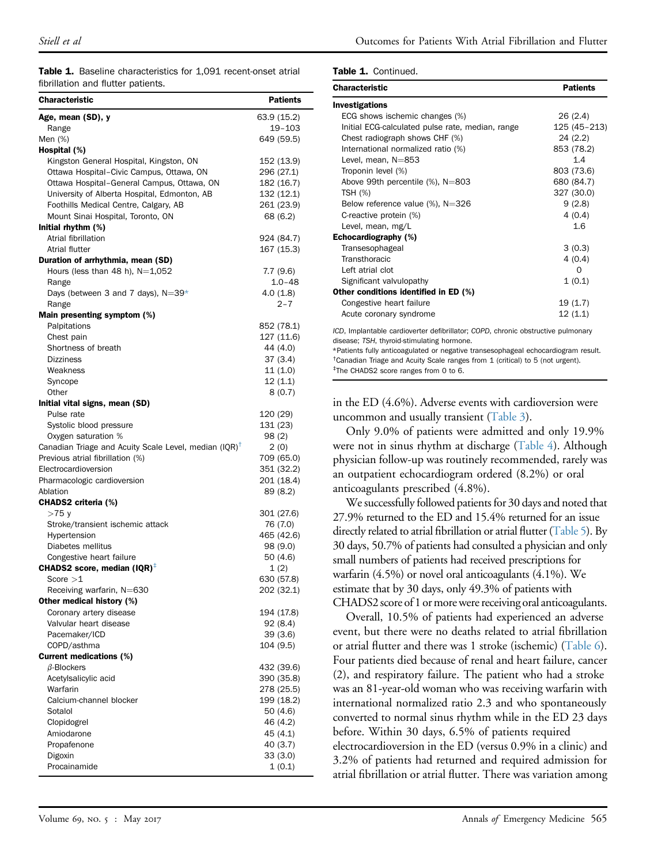Table 1. Baseline characteristics for 1,091 recent-onset atrial fibrillation and flutter patients.

| <b>Characteristic</b>                                    | <b>Patients</b>     |
|----------------------------------------------------------|---------------------|
| Age, mean (SD), y                                        | 63.9 (15.2)         |
| Range                                                    | 19-103              |
| Men (%)                                                  | 649 (59.5)          |
| Hospital (%)                                             |                     |
| Kingston General Hospital, Kingston, ON                  | 152 (13.9)          |
| Ottawa Hospital-Civic Campus, Ottawa, ON                 | 296 (27.1)          |
| Ottawa Hospital-General Campus, Ottawa, ON               | 182 (16.7)          |
| University of Alberta Hospital, Edmonton, AB             | 132 (12.1)          |
| Foothills Medical Centre, Calgary, AB                    | 261 (23.9)          |
| Mount Sinai Hospital, Toronto, ON                        | 68 (6.2)            |
| Initial rhythm (%)                                       |                     |
| Atrial fibrillation                                      | 924 (84.7)          |
| Atrial flutter                                           | 167 (15.3)          |
| Duration of arrhythmia, mean (SD)                        |                     |
| Hours (less than 48 h), $N=1,052$                        | 7.7 (9.6)           |
| Range                                                    | $1.0 - 48$          |
| Days (between 3 and 7 days), $N=39*$                     | 4.0(1.8)            |
| Range                                                    | $2 - 7$             |
| Main presenting symptom (%)                              |                     |
| Palpitations                                             | 852 (78.1)          |
| Chest pain                                               | 127 (11.6)          |
| Shortness of breath                                      | 44 (4.0)            |
| <b>Dizziness</b><br>Weakness                             | 37 (3.4)<br>11(1.0) |
|                                                          | 12(1.1)             |
| Syncope<br>Other                                         | 8(0.7)              |
| Initial vital signs, mean (SD)                           |                     |
| Pulse rate                                               | 120 (29)            |
| Systolic blood pressure                                  | 131 (23)            |
| Oxygen saturation %                                      | 98 (2)              |
| Canadian Triage and Acuity Scale Level, median $(IQR)^T$ | 2(0)                |
| Previous atrial fibrillation (%)                         | 709 (65.0)          |
| Electrocardioversion                                     | 351 (32.2)          |
| Pharmacologic cardioversion                              | 201 (18.4)          |
| Ablation                                                 | 89 (8.2)            |
| CHADS2 criteria (%)                                      |                     |
| >75 y                                                    | 301 (27.6)          |
| Stroke/transient ischemic attack                         | 76 (7.0)            |
| Hypertension                                             | 465 (42.6)          |
| Diabetes mellitus                                        | 98 (9.0)            |
| Congestive heart failure                                 | 50 (4.6)            |
| CHADS2 score, median (IQR) <sup>‡</sup>                  | 1(2)                |
| Score $>1$                                               | 630 (57.8)          |
| Receiving warfarin, N=630                                | 202 (32.1)          |
| Other medical history (%)                                |                     |
| Coronary artery disease                                  | 194 (17.8)          |
| Valvular heart disease                                   | 92(8.4)             |
| Pacemaker/ICD                                            | 39(3.6)             |
| COPD/asthma<br><b>Current medications (%)</b>            | 104 (9.5)           |
| $\beta$ -Blockers                                        | 432 (39.6)          |
| Acetylsalicylic acid                                     | 390 (35.8)          |
| Warfarin                                                 | 278 (25.5)          |
| Calcium-channel blocker                                  | 199 (18.2)          |
| Sotalol                                                  | 50 (4.6)            |
| Clopidogrel                                              | 46 (4.2)            |
| Amiodarone                                               | 45 (4.1)            |
| Propafenone                                              | 40 (3.7)            |
| Digoxin                                                  | 33(3.0)             |
| Procainamide                                             | 1(0.1)              |
|                                                          |                     |

Table 1. Continued.

| <b>Characteristic</b>                            | <b>Patients</b> |
|--------------------------------------------------|-----------------|
| Investigations                                   |                 |
| ECG shows ischemic changes (%)                   | 26 (2.4)        |
| Initial ECG-calculated pulse rate, median, range | 125 (45-213)    |
| Chest radiograph shows CHF (%)                   | 24(2.2)         |
| International normalized ratio (%)               | 853 (78.2)      |
| Level, mean, N=853                               | 1.4             |
| Troponin level (%)                               | 803 (73.6)      |
| Above 99th percentile (%), N=803                 | 680 (84.7)      |
| TSH (%)                                          | 327 (30.0)      |
| Below reference value $(\%)$ , N=326             | 9(2.8)          |
| C-reactive protein (%)                           | 4(0.4)          |
| Level, mean, mg/L                                | 1.6             |
| Echocardiography (%)                             |                 |
| Transesophageal                                  | 3(0.3)          |
| Transthoracic                                    | 4(0.4)          |
| Left atrial clot                                 | $\Omega$        |
| Significant valvulopathy                         | 1(0.1)          |
| Other conditions identified in ED (%)            |                 |
| Congestive heart failure                         | 19(1.7)         |
| Acute coronary syndrome                          | 12(1.1)         |

<span id="page-3-0"></span>ICD, Implantable cardioverter defibrillator; COPD, chronic obstructive pulmonary disease; TSH, thyroid-stimulating hormone.

<span id="page-3-3"></span><span id="page-3-2"></span><span id="page-3-1"></span>\*Patients fully anticoagulated or negative transesophageal echocardiogram result. <sup>†</sup>Canadian Triage and Acuity Scale ranges from 1 (critical) to 5 (not urgent). ‡ The CHADS2 score ranges from 0 to 6.

in the ED (4.6%). Adverse events with cardioversion were uncommon and usually transient [\(Table 3\)](#page-5-0).

Only 9.0% of patients were admitted and only 19.9% were not in sinus rhythm at discharge ([Table 4](#page-5-1)). Although physician follow-up was routinely recommended, rarely was an outpatient echocardiogram ordered (8.2%) or oral anticoagulants prescribed (4.8%).

We successfully followed patients for 30 days and noted that 27.9% returned to the ED and 15.4% returned for an issue directly related to atrial fibrillation or atrial flutter ([Table 5\)](#page-6-0). By 30 days, 50.7% of patients had consulted a physician and only small numbers of patients had received prescriptions for warfarin (4.5%) or novel oral anticoagulants (4.1%). We estimate that by 30 days, only 49.3% of patients with CHADS2 score of 1 or more were receiving oral anticoagulants.

Overall, 10.5% of patients had experienced an adverse event, but there were no deaths related to atrial fibrillation or atrial flutter and there was 1 stroke (ischemic) ([Table 6\)](#page-6-1). Four patients died because of renal and heart failure, cancer (2), and respiratory failure. The patient who had a stroke was an 81-year-old woman who was receiving warfarin with international normalized ratio 2.3 and who spontaneously converted to normal sinus rhythm while in the ED 23 days before. Within 30 days, 6.5% of patients required electrocardioversion in the ED (versus 0.9% in a clinic) and 3.2% of patients had returned and required admission for atrial fibrillation or atrial flutter. There was variation among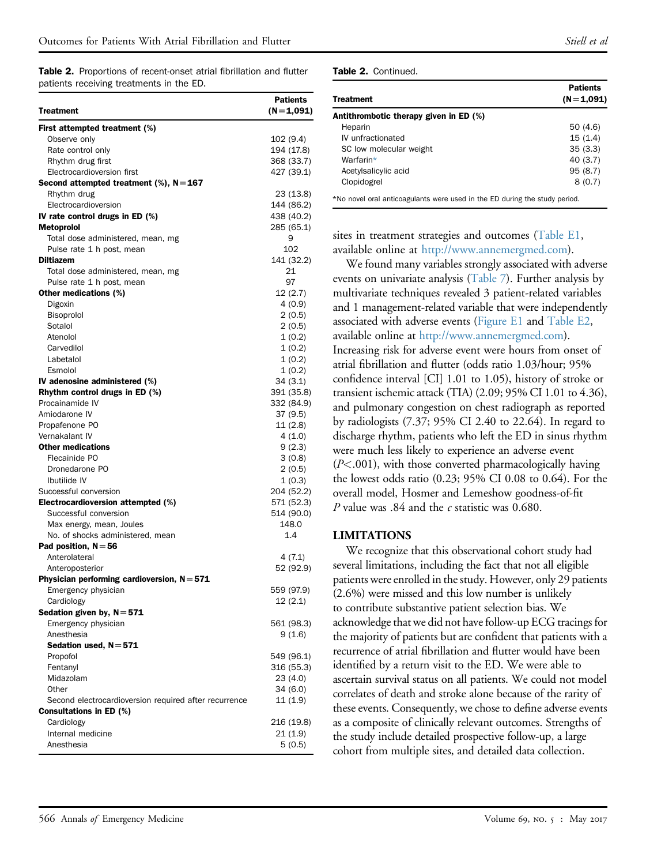<span id="page-4-0"></span>Table 2. Proportions of recent-onset atrial fibrillation and flutter patients receiving treatments in the ED.

| <b>Treatment</b>                                      | <b>Patients</b><br>$(N=1,091)$ |
|-------------------------------------------------------|--------------------------------|
| First attempted treatment (%)                         |                                |
| Observe only                                          | 102(9.4)                       |
| Rate control only                                     | 194 (17.8)                     |
| Rhythm drug first                                     | 368 (33.7)                     |
| Electrocardioversion first                            | 427 (39.1)                     |
| Second attempted treatment (%), $N=167$               |                                |
| Rhythm drug                                           | 23 (13.8)                      |
| Electrocardioversion                                  | 144 (86.2)                     |
| IV rate control drugs in ED (%)                       | 438 (40.2)                     |
| Metoprolol                                            | 285 (65.1)                     |
| Total dose administered, mean, mg                     | 9                              |
| Pulse rate 1 h post, mean                             | 102                            |
| <b>Diltiazem</b>                                      | 141 (32.2)                     |
| Total dose administered, mean, mg                     | 21                             |
| Pulse rate 1 h post, mean                             | 97                             |
| <b>Other medications (%)</b>                          | 12(2.7)                        |
| Digoxin                                               | 4(0.9)                         |
| Bisoprolol                                            | 2(0.5)                         |
| Sotalol                                               | 2(0.5)                         |
| Atenolol                                              | 1(0.2)                         |
| Carvedilol                                            | 1(0.2)                         |
| Labetalol                                             | 1(0.2)                         |
| Esmolol                                               | 1(0.2)                         |
| IV adenosine administered (%)                         | 34(3.1)                        |
| Rhythm control drugs in ED (%)                        | 391 (35.8)                     |
| Procainamide IV                                       | 332 (84.9)                     |
| Amiodarone IV                                         | 37 (9.5)                       |
| Propafenone PO                                        | 11(2.8)                        |
| Vernakalant IV                                        | 4(1.0)                         |
| <b>Other medications</b>                              | 9(2.3)                         |
| Flecainide PO                                         | 3(0.8)                         |
| Dronedarone PO                                        | 2(0.5)                         |
| Ibutilide IV                                          | 1(0.3)                         |
| Successful conversion                                 | 204 (52.2)                     |
| Electrocardioversion attempted (%)                    | 571 (52.3)                     |
| Successful conversion                                 | 514 (90.0)                     |
| Max energy, mean, Joules                              | 148.0                          |
| No. of shocks administered, mean                      | 1.4                            |
| Pad position, $N = 56$                                |                                |
| Anterolateral                                         | 4(7.1)                         |
| Anteroposterior                                       | 52 (92.9)                      |
| Physician performing cardioversion, $N = 571$         |                                |
| Emergency physician                                   | 559 (97.9)                     |
| Cardiology                                            | 12(2.1)                        |
| Sedation given by, $N = 571$                          |                                |
| Emergency physician                                   | 561 (98.3)                     |
| Anesthesia                                            | 9(1.6)                         |
| Sedation used, N = 571                                |                                |
| Propofol                                              | 549 (96.1)                     |
| Fentanyl                                              | 316 (55.3)                     |
| Midazolam                                             | 23(4.0)                        |
| Other                                                 | 34(6.0)                        |
| Second electrocardioversion required after recurrence | 11(1.9)                        |
| <b>Consultations in ED (%)</b>                        |                                |
| Cardiology                                            | 216 (19.8)                     |
| Internal medicine                                     | 21(1.9)                        |
| Anesthesia                                            | 5(0.5)                         |

|  | Table 2. Continued. |
|--|---------------------|
|  |                     |

| Treatment                                                                  | <b>Patients</b><br>$(N=1,091)$ |
|----------------------------------------------------------------------------|--------------------------------|
| Antithrombotic therapy given in ED (%)                                     |                                |
| Heparin                                                                    | 50 (4.6)                       |
| IV unfractionated                                                          | 15(1.4)                        |
| SC low molecular weight                                                    | 35(3.3)                        |
| Warfarin*                                                                  | 40 (3.7)                       |
| Acetylsalicylic acid                                                       | 95(8.7)                        |
| Clopidogrel                                                                | 8(0.7)                         |
| *No novel oral anticoagulants were used in the ED during the study period. |                                |

<span id="page-4-1"></span>sites in treatment strategies and outcomes ([Table E1,](#page-10-0)

available online at [http://www.annemergmed.com\)](http://www.annemergmed.com). We found many variables strongly associated with adverse events on univariate analysis [\(Table 7](#page-7-0)). Further analysis by multivariate techniques revealed 3 patient-related variables and 1 management-related variable that were independently associated with adverse events [\(Figure E1](#page-10-1) and [Table E2](#page-11-0), available online at <http://www.annemergmed.com>). Increasing risk for adverse event were hours from onset of atrial fibrillation and flutter (odds ratio 1.03/hour; 95% confidence interval [CI] 1.01 to 1.05), history of stroke or transient ischemic attack (TIA) (2.09; 95% CI 1.01 to 4.36), and pulmonary congestion on chest radiograph as reported by radiologists (7.37; 95% CI 2.40 to 22.64). In regard to discharge rhythm, patients who left the ED in sinus rhythm were much less likely to experience an adverse event (P<.001), with those converted pharmacologically having the lowest odds ratio (0.23; 95% CI 0.08 to 0.64). For the overall model, Hosmer and Lemeshow goodness-of-fit P value was .84 and the c statistic was 0.680.

#### LIMITATIONS

We recognize that this observational cohort study had several limitations, including the fact that not all eligible patients were enrolled in the study. However, only 29 patients (2.6%) were missed and this low number is unlikely to contribute substantive patient selection bias. We acknowledge that we did not have follow-up ECG tracings for the majority of patients but are confident that patients with a recurrence of atrial fibrillation and flutter would have been identified by a return visit to the ED. We were able to ascertain survival status on all patients. We could not model correlates of death and stroke alone because of the rarity of these events. Consequently, we chose to define adverse events as a composite of clinically relevant outcomes. Strengths of the study include detailed prospective follow-up, a large cohort from multiple sites, and detailed data collection.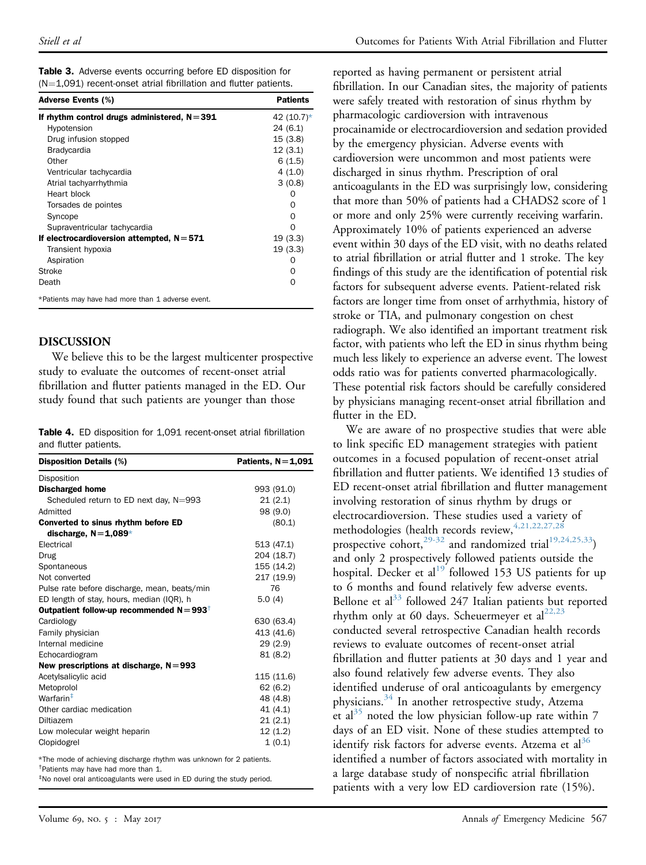<span id="page-5-0"></span>

|  | <b>Table 3.</b> Adverse events occurring before ED disposition for |
|--|--------------------------------------------------------------------|
|  | $(N=1.091)$ recent-onset atrial fibrillation and flutter patients. |

| Adverse Events (%)                                | <b>Patients</b> |
|---------------------------------------------------|-----------------|
| If rhythm control drugs administered, $N = 391$   | 42 (10.7)*      |
| Hypotension                                       | 24 (6.1)        |
| Drug infusion stopped                             | 15(3.8)         |
| <b>Bradycardia</b>                                | 12(3.1)         |
| Other                                             | 6(1.5)          |
| Ventricular tachycardia                           | 4(1.0)          |
| Atrial tachyarrhythmia                            | 3(0.8)          |
| Heart block                                       | Ω               |
| Torsades de pointes                               | 0               |
| Syncope                                           | $\Omega$        |
| Supraventricular tachycardia                      | ∩               |
| If electrocardioversion attempted, $N = 571$      | 19(3.3)         |
| Transient hypoxia                                 | 19(3.3)         |
| Aspiration                                        | $\mathcal{L}$   |
| Stroke                                            | Ω               |
| Death                                             | 0               |
| *Patients may have had more than 1 adverse event. |                 |

#### <span id="page-5-2"></span>DISCUSSION

We believe this to be the largest multicenter prospective study to evaluate the outcomes of recent-onset atrial fibrillation and flutter patients managed in the ED. Our study found that such patients are younger than those

<span id="page-5-1"></span>Table 4. ED disposition for 1,091 recent-onset atrial fibrillation and flutter patients.

| <b>Disposition Details (%)</b>                                                                                         | Patients, $N=1,091$ |
|------------------------------------------------------------------------------------------------------------------------|---------------------|
| Disposition                                                                                                            |                     |
| <b>Discharged home</b>                                                                                                 | 993 (91.0)          |
| Scheduled return to ED next day, N=993                                                                                 | 21(2.1)             |
| Admitted                                                                                                               | 98 (9.0)            |
| Converted to sinus rhythm before ED                                                                                    | (80.1)              |
| discharge, $N=1.089*$                                                                                                  |                     |
| Electrical                                                                                                             | 513 (47.1)          |
| Drug                                                                                                                   | 204 (18.7)          |
| Spontaneous                                                                                                            | 155 (14.2)          |
| Not converted                                                                                                          | 217 (19.9)          |
| Pulse rate before discharge, mean, beats/min                                                                           | 76                  |
| ED length of stay, hours, median (IQR), h                                                                              | 5.0(4)              |
| Outpatient follow-up recommended $N = 993^+$                                                                           |                     |
| Cardiology                                                                                                             | 630 (63.4)          |
| Family physician                                                                                                       | 413 (41.6)          |
| Internal medicine                                                                                                      | 29(2.9)             |
| Echocardiogram                                                                                                         | 81 (8.2)            |
| New prescriptions at discharge, $N = 993$                                                                              |                     |
| Acetylsalicylic acid                                                                                                   | 115 (11.6)          |
| Metoprolol                                                                                                             | 62(6.2)             |
| Warfarin <sup>‡</sup>                                                                                                  | 48 (4.8)            |
| Other cardiac medication                                                                                               | 41 (4.1)            |
| Diltiazem                                                                                                              | 21(2.1)             |
| Low molecular weight heparin                                                                                           | 12 (1.2)            |
| Clopidogrel                                                                                                            | 1(0.1)              |
| *The mode of achieving discharge rhythm was unknown for 2 patients.<br><sup>†</sup> Patients may have had more than 1. |                     |

<span id="page-5-5"></span><span id="page-5-4"></span><span id="page-5-3"></span>‡ No novel oral anticoagulants were used in ED during the study period.

reported as having permanent or persistent atrial fibrillation. In our Canadian sites, the majority of patients were safely treated with restoration of sinus rhythm by pharmacologic cardioversion with intravenous procainamide or electrocardioversion and sedation provided by the emergency physician. Adverse events with cardioversion were uncommon and most patients were discharged in sinus rhythm. Prescription of oral anticoagulants in the ED was surprisingly low, considering that more than 50% of patients had a CHADS2 score of 1 or more and only 25% were currently receiving warfarin. Approximately 10% of patients experienced an adverse event within 30 days of the ED visit, with no deaths related to atrial fibrillation or atrial flutter and 1 stroke. The key findings of this study are the identification of potential risk factors for subsequent adverse events. Patient-related risk factors are longer time from onset of arrhythmia, history of stroke or TIA, and pulmonary congestion on chest radiograph. We also identified an important treatment risk factor, with patients who left the ED in sinus rhythm being much less likely to experience an adverse event. The lowest odds ratio was for patients converted pharmacologically. These potential risk factors should be carefully considered by physicians managing recent-onset atrial fibrillation and flutter in the ED.

We are aware of no prospective studies that were able to link specific ED management strategies with patient outcomes in a focused population of recent-onset atrial fibrillation and flutter patients. We identified 13 studies of ED recent-onset atrial fibrillation and flutter management involving restoration of sinus rhythm by drugs or electrocardioversion. These studies used a variety of methodologies (health records review,  $4,21,22,27,28$ prospective cohort,<sup>[29-32](#page-9-7)</sup> and randomized trial<sup>19,24,25,33</sup>) and only 2 prospectively followed patients outside the hospital. Decker et al<sup>[19](#page-9-5)</sup> followed 153 US patients for up to 6 months and found relatively few adverse events. Bellone et al<sup>[33](#page-9-8)</sup> followed 247 Italian patients but reported rhythm only at 60 days. Scheuermeyer et al $^{22,23}$  $^{22,23}$  $^{22,23}$ conducted several retrospective Canadian health records reviews to evaluate outcomes of recent-onset atrial fibrillation and flutter patients at 30 days and 1 year and also found relatively few adverse events. They also identified underuse of oral anticoagulants by emergency physicians.[34](#page-9-10) In another retrospective study, Atzema et al<sup>[35](#page-9-11)</sup> noted the low physician follow-up rate within 7 days of an ED visit. None of these studies attempted to identify risk factors for adverse events. Atzema et al<sup>[36](#page-9-12)</sup> identified a number of factors associated with mortality in a large database study of nonspecific atrial fibrillation patients with a very low ED cardioversion rate (15%).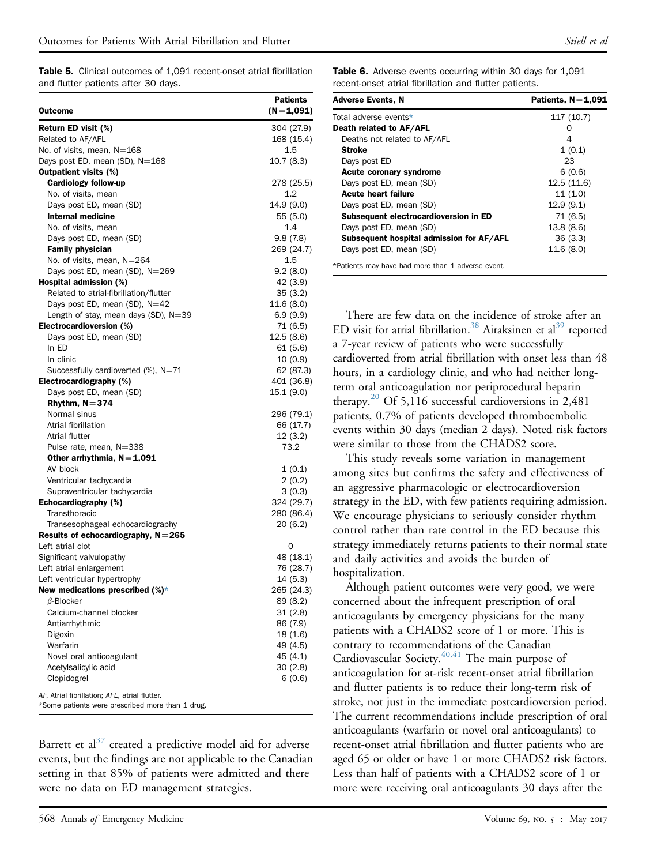Table 5. Clinical outcomes of 1,091 recent-onset atrial fibrillation and flutter patients after 30 days.

|                                                                                                   | <b>Patients</b>      |
|---------------------------------------------------------------------------------------------------|----------------------|
| Outcome                                                                                           | (N=1,091)            |
| Return ED visit (%)                                                                               | 304 (27.9)           |
| Related to AF/AFL                                                                                 | 168 (15.4)           |
| No. of visits, mean, N=168                                                                        | 1.5                  |
| Days post ED, mean (SD), $N=168$                                                                  | 10.7(8.3)            |
| <b>Outpatient visits (%)</b>                                                                      |                      |
| Cardiology follow-up                                                                              | 278 (25.5)           |
| No. of visits, mean                                                                               | 1.2                  |
| Days post ED, mean (SD)                                                                           | 14.9 (9.0)           |
| Internal medicine                                                                                 | 55 (5.0)             |
| No. of visits, mean                                                                               | 1.4                  |
| Days post ED, mean (SD)                                                                           | 9.8(7.8)             |
| <b>Family physician</b>                                                                           | 269 (24.7)           |
| No. of visits, mean, N=264                                                                        | 1.5                  |
| Days post ED, mean (SD), N=269                                                                    | 9.2(8.0)             |
| Hospital admission (%)                                                                            | 42 (3.9)             |
| Related to atrial-fibrillation/flutter                                                            | 35(3.2)              |
| Days post ED, mean (SD), N=42                                                                     | 11.6 (8.0)           |
| Length of stay, mean days $(SD)$ , $N=39$                                                         | 6.9(9.9)             |
| Electrocardioversion (%)                                                                          | 71 (6.5)             |
| Days post ED, mean (SD)                                                                           | 12.5 (8.6)           |
| In ED                                                                                             | 61(5.6)              |
| In clinic                                                                                         | 10 (0.9)             |
| Successfully cardioverted $(\%)$ , N=71                                                           | 62 (87.3)            |
| Electrocardiography (%)                                                                           | 401 (36.8)           |
| Days post ED, mean (SD)                                                                           | 15.1 (9.0)           |
| Rhythm, $N = 374$                                                                                 |                      |
| Normal sinus                                                                                      | 296 (79.1)           |
| Atrial fibrillation                                                                               | 66 (17.7)            |
| Atrial flutter                                                                                    | 12(3.2)              |
| Pulse rate, mean, N=338                                                                           | 73.2                 |
| Other arrhythmia, $N=1,091$                                                                       |                      |
| AV block                                                                                          | 1(0.1)               |
| Ventricular tachycardia                                                                           | 2(0.2)               |
| Supraventricular tachycardia                                                                      | 3(0.3)               |
| Echocardiography (%)                                                                              | 324 (29.7)           |
| Transthoracic                                                                                     | 280 (86.4)           |
| Transesophageal echocardiography                                                                  | 20 (6.2)             |
| Results of echocardiography, $N = 265$                                                            |                      |
| Left atrial clot                                                                                  | 0                    |
| Significant valvulopathy                                                                          | 48 (18.1)            |
| Left atrial enlargement                                                                           | 76 (28.7)            |
| Left ventricular hypertrophy                                                                      | 14 (5.3)             |
| New medications prescribed $(\%)^*$                                                               | 265 (24.3)           |
| $\beta$ -Blocker<br>Calcium-channel blocker                                                       | 89 (8.2)<br>31(2.8)  |
|                                                                                                   |                      |
| Antiarrhythmic<br>Digoxin                                                                         | 86 (7.9)<br>18 (1.6) |
| Warfarin                                                                                          | 49 (4.5)             |
| Novel oral anticoagulant                                                                          | 45 (4.1)             |
| Acetylsalicylic acid                                                                              | 30(2.8)              |
| Clopidogrel                                                                                       | 6(0.6)               |
|                                                                                                   |                      |
| AF, Atrial fibrillation; AFL, atrial flutter.<br>*Some patients were prescribed more than 1 drug. |                      |

<span id="page-6-2"></span><span id="page-6-0"></span>Barrett et al<sup>[37](#page-9-13)</sup> created a predictive model aid for adverse events, but the findings are not applicable to the Canadian setting in that 85% of patients were admitted and there were no data on ED management strategies.

<span id="page-6-1"></span>

| <b>Table 6.</b> Adverse events occurring within 30 days for 1,091 |  |
|-------------------------------------------------------------------|--|
| recent-onset atrial fibrillation and flutter patients.            |  |

| <b>Adverse Events, N</b>                 | Patients, $N=1,091$ |
|------------------------------------------|---------------------|
| Total adverse events*                    | 117 (10.7)          |
| Death related to AF/AFL                  |                     |
| Deaths not related to AF/AFL             | 4                   |
| Stroke                                   | 1(0.1)              |
| Days post ED                             | 23                  |
| <b>Acute coronary syndrome</b>           | 6(0.6)              |
| Days post ED, mean (SD)                  | 12.5(11.6)          |
| <b>Acute heart failure</b>               | 11(1.0)             |
| Days post ED, mean (SD)                  | 12.9(9.1)           |
| Subsequent electrocardioversion in ED    | 71 (6.5)            |
| Days post ED, mean (SD)                  | 13.8(8.6)           |
| Subsequent hospital admission for AF/AFL | 36(3.3)             |
| Days post ED, mean (SD)                  | 11.6 (8.0)          |

<span id="page-6-3"></span>\*Patients may have had more than 1 adverse event.

There are few data on the incidence of stroke after an ED visit for atrial fibrillation.<sup>[38](#page-9-14)</sup> Airaksinen et al<sup>39</sup> reported a 7-year review of patients who were successfully cardioverted from atrial fibrillation with onset less than 48 hours, in a cardiology clinic, and who had neither longterm oral anticoagulation nor periprocedural heparin therapy.<sup>[20](#page-9-16)</sup> Of 5,116 successful cardioversions in 2,481 patients, 0.7% of patients developed thromboembolic events within 30 days (median 2 days). Noted risk factors were similar to those from the CHADS2 score.

This study reveals some variation in management among sites but confirms the safety and effectiveness of an aggressive pharmacologic or electrocardioversion strategy in the ED, with few patients requiring admission. We encourage physicians to seriously consider rhythm control rather than rate control in the ED because this strategy immediately returns patients to their normal state and daily activities and avoids the burden of hospitalization.

Although patient outcomes were very good, we were concerned about the infrequent prescription of oral anticoagulants by emergency physicians for the many patients with a CHADS2 score of 1 or more. This is contrary to recommendations of the Canadian Cardiovascular Society. $40,41$  The main purpose of anticoagulation for at-risk recent-onset atrial fibrillation and flutter patients is to reduce their long-term risk of stroke, not just in the immediate postcardioversion period. The current recommendations include prescription of oral anticoagulants (warfarin or novel oral anticoagulants) to recent-onset atrial fibrillation and flutter patients who are aged 65 or older or have 1 or more CHADS2 risk factors. Less than half of patients with a CHADS2 score of 1 or more were receiving oral anticoagulants 30 days after the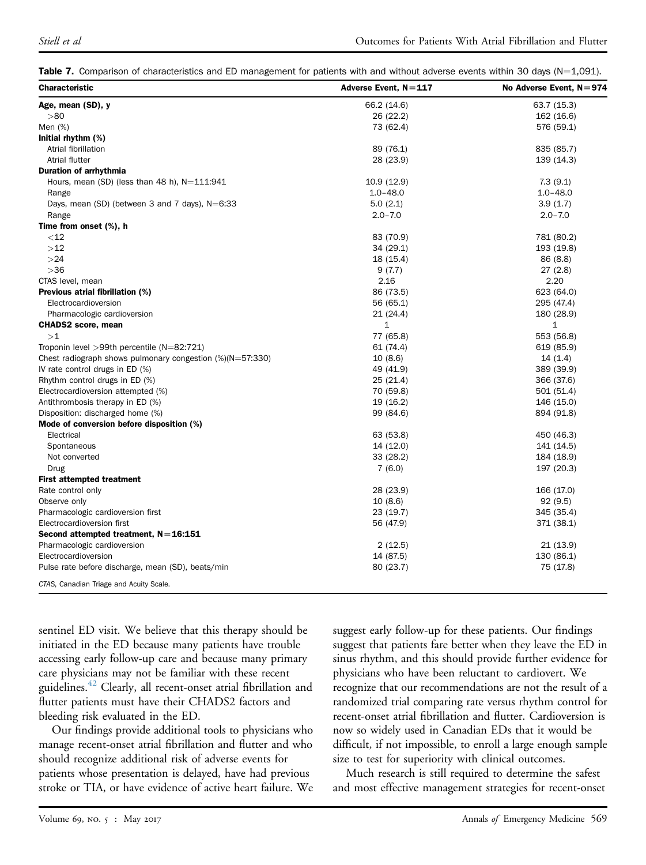Table 7. Comparison of characteristics and ED management for patients with and without adverse events within 30 days (N=1,091).

| <b>Characteristic</b>                                         | Adverse Event, $N = 117$ | No Adverse Event, $N = 974$ |
|---------------------------------------------------------------|--------------------------|-----------------------------|
| Age, mean (SD), y                                             | 66.2 (14.6)              | 63.7 (15.3)                 |
| > 80                                                          | 26 (22.2)                | 162 (16.6)                  |
| Men (%)                                                       | 73 (62.4)                | 576 (59.1)                  |
| Initial rhythm (%)                                            |                          |                             |
| Atrial fibrillation                                           | 89 (76.1)                | 835 (85.7)                  |
| Atrial flutter                                                | 28 (23.9)                | 139 (14.3)                  |
| <b>Duration of arrhythmia</b>                                 |                          |                             |
| Hours, mean (SD) (less than 48 h), $N=111:941$                | 10.9 (12.9)              | 7.3(9.1)                    |
| Range                                                         | $1.0 - 48.0$             | $1.0 - 48.0$                |
| Days, mean (SD) (between 3 and 7 days), N=6:33                | 5.0(2.1)                 | 3.9(1.7)                    |
| Range                                                         | $2.0 - 7.0$              | $2.0 - 7.0$                 |
| Time from onset (%), h                                        |                          |                             |
| $<$ 12                                                        | 83 (70.9)                | 781 (80.2)                  |
| >12                                                           | 34 (29.1)                | 193 (19.8)                  |
| >24                                                           | 18 (15.4)                | 86 (8.8)                    |
| $>36$                                                         | 9(7.7)                   | 27(2.8)                     |
| CTAS level, mean                                              | 2.16                     | 2.20                        |
| Previous atrial fibrillation (%)                              | 86 (73.5)                | 623 (64.0)                  |
| Electrocardioversion                                          | 56 (65.1)                | 295 (47.4)                  |
| Pharmacologic cardioversion                                   | 21(24.4)                 | 180 (28.9)                  |
| <b>CHADS2</b> score, mean                                     | $\mathbf{1}$             | 1                           |
| >1                                                            | 77 (65.8)                | 553 (56.8)                  |
| Troponin level $>99$ th percentile (N=82:721)                 | 61 (74.4)                | 619 (85.9)                  |
| Chest radiograph shows pulmonary congestion $(\%)$ (N=57:330) | 10(8.6)                  | 14(1.4)                     |
| IV rate control drugs in ED (%)                               | 49 (41.9)                | 389 (39.9)                  |
| Rhythm control drugs in ED (%)                                | 25 (21.4)                | 366 (37.6)                  |
| Electrocardioversion attempted (%)                            | 70 (59.8)                | 501 (51.4)                  |
| Antithrombosis therapy in ED (%)                              | 19 (16.2)                | 146 (15.0)                  |
| Disposition: discharged home (%)                              | 99 (84.6)                | 894 (91.8)                  |
| Mode of conversion before disposition (%)                     |                          |                             |
| Electrical                                                    | 63 (53.8)                | 450 (46.3)                  |
| Spontaneous                                                   | 14 (12.0)                | 141 (14.5)                  |
| Not converted                                                 | 33 (28.2)                | 184 (18.9)                  |
| Drug                                                          | 7(6.0)                   | 197 (20.3)                  |
| <b>First attempted treatment</b>                              |                          |                             |
| Rate control only                                             | 28 (23.9)                | 166 (17.0)                  |
| Observe only                                                  | 10(8.6)                  | 92(9.5)                     |
| Pharmacologic cardioversion first                             | 23 (19.7)                | 345 (35.4)                  |
| Electrocardioversion first                                    | 56 (47.9)                | 371 (38.1)                  |
| Second attempted treatment, $N = 16:151$                      |                          |                             |
| Pharmacologic cardioversion                                   | 2(12.5)                  | 21 (13.9)                   |
| Electrocardioversion                                          | 14 (87.5)                | 130 (86.1)                  |
| Pulse rate before discharge, mean (SD), beats/min             | 80 (23.7)                | 75 (17.8)                   |
| CTAS, Canadian Triage and Acuity Scale.                       |                          |                             |

<span id="page-7-0"></span>sentinel ED visit. We believe that this therapy should be initiated in the ED because many patients have trouble accessing early follow-up care and because many primary care physicians may not be familiar with these recent guidelines.<sup>[42](#page-9-18)</sup> Clearly, all recent-onset atrial fibrillation and flutter patients must have their CHADS2 factors and bleeding risk evaluated in the ED.

Our findings provide additional tools to physicians who manage recent-onset atrial fibrillation and flutter and who should recognize additional risk of adverse events for patients whose presentation is delayed, have had previous stroke or TIA, or have evidence of active heart failure. We

suggest early follow-up for these patients. Our findings suggest that patients fare better when they leave the ED in sinus rhythm, and this should provide further evidence for physicians who have been reluctant to cardiovert. We recognize that our recommendations are not the result of a randomized trial comparing rate versus rhythm control for recent-onset atrial fibrillation and flutter. Cardioversion is now so widely used in Canadian EDs that it would be difficult, if not impossible, to enroll a large enough sample size to test for superiority with clinical outcomes.

Much research is still required to determine the safest and most effective management strategies for recent-onset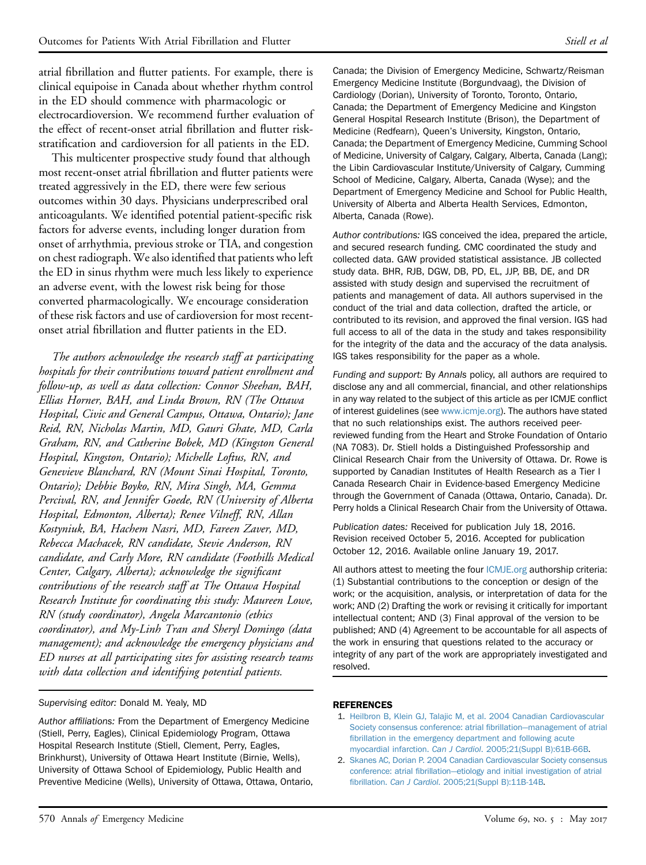atrial fibrillation and flutter patients. For example, there is clinical equipoise in Canada about whether rhythm control in the ED should commence with pharmacologic or electrocardioversion. We recommend further evaluation of the effect of recent-onset atrial fibrillation and flutter riskstratification and cardioversion for all patients in the ED.

This multicenter prospective study found that although most recent-onset atrial fibrillation and flutter patients were treated aggressively in the ED, there were few serious outcomes within 30 days. Physicians underprescribed oral anticoagulants. We identified potential patient-specific risk factors for adverse events, including longer duration from onset of arrhythmia, previous stroke or TIA, and congestion on chest radiograph. We also identified that patients who left the ED in sinus rhythm were much less likely to experience an adverse event, with the lowest risk being for those converted pharmacologically. We encourage consideration of these risk factors and use of cardioversion for most recentonset atrial fibrillation and flutter patients in the ED.

The authors acknowledge the research staff at participating hospitals for their contributions toward patient enrollment and follow-up, as well as data collection: Connor Sheehan, BAH, Ellias Horner, BAH, and Linda Brown, RN (The Ottawa Hospital, Civic and General Campus, Ottawa, Ontario); Jane Reid, RN, Nicholas Martin, MD, Gauri Ghate, MD, Carla Graham, RN, and Catherine Bobek, MD (Kingston General Hospital, Kingston, Ontario); Michelle Loftus, RN, and Genevieve Blanchard, RN (Mount Sinai Hospital, Toronto, Ontario); Debbie Boyko, RN, Mira Singh, MA, Gemma Percival, RN, and Jennifer Goede, RN (University of Alberta Hospital, Edmonton, Alberta); Renee Vilneff, RN, Allan Kostyniuk, BA, Hachem Nasri, MD, Fareen Zaver, MD, Rebecca Machacek, RN candidate, Stevie Anderson, RN candidate, and Carly More, RN candidate (Foothills Medical Center, Calgary, Alberta); acknowledge the significant contributions of the research staff at The Ottawa Hospital Research Institute for coordinating this study: Maureen Lowe, RN (study coordinator), Angela Marcantonio (ethics coordinator), and My-Linh Tran and Sheryl Domingo (data management); and acknowledge the emergency physicians and ED nurses at all participating sites for assisting research teams with data collection and identifying potential patients.

#### Supervising editor: Donald M. Yealy, MD

Author affiliations: From the Department of Emergency Medicine (Stiell, Perry, Eagles), Clinical Epidemiology Program, Ottawa Hospital Research Institute (Stiell, Clement, Perry, Eagles, Brinkhurst), University of Ottawa Heart Institute (Birnie, Wells), University of Ottawa School of Epidemiology, Public Health and Preventive Medicine (Wells), University of Ottawa, Ottawa, Ontario,

Canada; the Division of Emergency Medicine, Schwartz/Reisman Emergency Medicine Institute (Borgundvaag), the Division of Cardiology (Dorian), University of Toronto, Toronto, Ontario, Canada; the Department of Emergency Medicine and Kingston General Hospital Research Institute (Brison), the Department of Medicine (Redfearn), Queen's University, Kingston, Ontario, Canada; the Department of Emergency Medicine, Cumming School of Medicine, University of Calgary, Calgary, Alberta, Canada (Lang); the Libin Cardiovascular Institute/University of Calgary, Cumming School of Medicine, Calgary, Alberta, Canada (Wyse); and the Department of Emergency Medicine and School for Public Health, University of Alberta and Alberta Health Services, Edmonton, Alberta, Canada (Rowe).

Author contributions: IGS conceived the idea, prepared the article, and secured research funding. CMC coordinated the study and collected data. GAW provided statistical assistance. JB collected study data. BHR, RJB, DGW, DB, PD, EL, JJP, BB, DE, and DR assisted with study design and supervised the recruitment of patients and management of data. All authors supervised in the conduct of the trial and data collection, drafted the article, or contributed to its revision, and approved the final version. IGS had full access to all of the data in the study and takes responsibility for the integrity of the data and the accuracy of the data analysis. IGS takes responsibility for the paper as a whole.

Funding and support: By Annals policy, all authors are required to disclose any and all commercial, financial, and other relationships in any way related to the subject of this article as per ICMJE conflict of interest guidelines (see [www.icmje.org](http://www.icmje.org/)). The authors have stated that no such relationships exist. The authors received peerreviewed funding from the Heart and Stroke Foundation of Ontario (NA 7083). Dr. Stiell holds a Distinguished Professorship and Clinical Research Chair from the University of Ottawa. Dr. Rowe is supported by Canadian Institutes of Health Research as a Tier I Canada Research Chair in Evidence-based Emergency Medicine through the Government of Canada (Ottawa, Ontario, Canada). Dr. Perry holds a Clinical Research Chair from the University of Ottawa.

Publication dates: Received for publication July 18, 2016. Revision received October 5, 2016. Accepted for publication October 12, 2016. Available online January 19, 2017.

All authors attest to meeting the four [ICMJE.org](http://ICMJE.org) authorship criteria: (1) Substantial contributions to the conception or design of the work; or the acquisition, analysis, or interpretation of data for the work; AND (2) Drafting the work or revising it critically for important intellectual content; AND (3) Final approval of the version to be published; AND (4) Agreement to be accountable for all aspects of the work in ensuring that questions related to the accuracy or integrity of any part of the work are appropriately investigated and resolved.

#### <span id="page-8-0"></span>REFERENCES

- 1. [Heilbron B, Klein GJ, Talajic M, et al. 2004 Canadian Cardiovascular](http://refhub.elsevier.com/S0196-0644(16)31243-4/sref1) [Society consensus conference: atrial](http://refhub.elsevier.com/S0196-0644(16)31243-4/sref1) fibrillation—[management of atrial](http://refhub.elsevier.com/S0196-0644(16)31243-4/sref1) fi[brillation in the emergency department and following acute](http://refhub.elsevier.com/S0196-0644(16)31243-4/sref1) myocardial infarction. Can J Cardiol[. 2005;21\(Suppl B\):61B-66B.](http://refhub.elsevier.com/S0196-0644(16)31243-4/sref1)
- <span id="page-8-1"></span>2. [Skanes AC, Dorian P. 2004 Canadian Cardiovascular Society consensus](http://refhub.elsevier.com/S0196-0644(16)31243-4/sref2) [conference: atrial](http://refhub.elsevier.com/S0196-0644(16)31243-4/sref2) fibrillation—[etiology and initial investigation of atrial](http://refhub.elsevier.com/S0196-0644(16)31243-4/sref2) fibrillation. Can J Cardiol[. 2005;21\(Suppl B\):11B-14B](http://refhub.elsevier.com/S0196-0644(16)31243-4/sref2).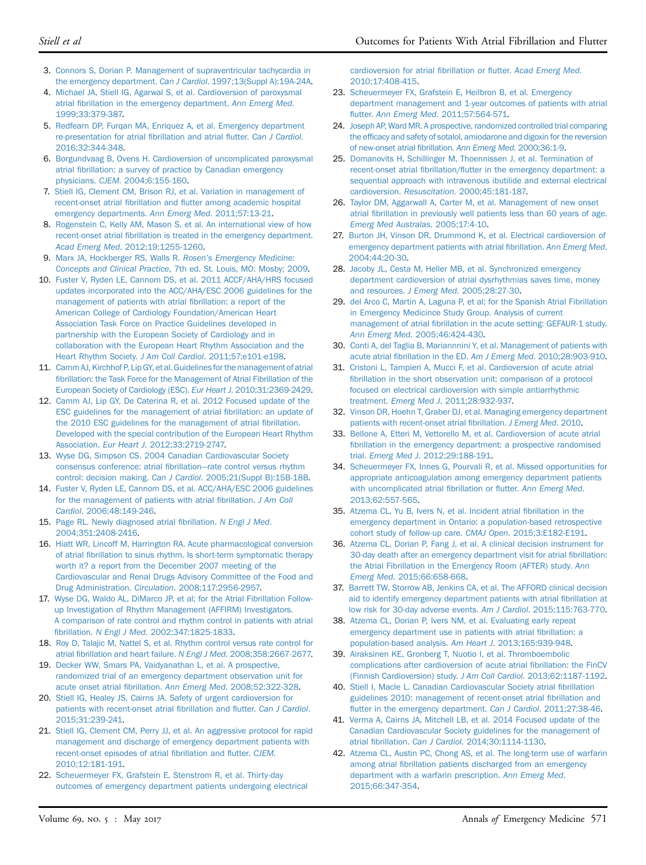- <span id="page-9-0"></span>3. [Connors S, Dorian P. Management of supraventricular tachycardia in](http://refhub.elsevier.com/S0196-0644(16)31243-4/sref3) the emergency department. Can J Cardiol[. 1997;13\(Suppl A\):19A-24A](http://refhub.elsevier.com/S0196-0644(16)31243-4/sref3).
- <span id="page-9-6"></span>4. [Michael JA, Stiell IG, Agarwal S, et al. Cardioversion of paroxysmal](http://refhub.elsevier.com/S0196-0644(16)31243-4/sref4) atrial fi[brillation in the emergency department.](http://refhub.elsevier.com/S0196-0644(16)31243-4/sref4) Ann Emerg Med. [1999;33:379-387.](http://refhub.elsevier.com/S0196-0644(16)31243-4/sref4)
- 5. [Redfearn DP, Furqan MA, Enriquez A, et al. Emergency department](http://refhub.elsevier.com/S0196-0644(16)31243-4/sref5) [re-presentation for atrial](http://refhub.elsevier.com/S0196-0644(16)31243-4/sref5) fibrillation and atrial flutter. Can J Cardiol. [2016;32:344-348.](http://refhub.elsevier.com/S0196-0644(16)31243-4/sref5)
- <span id="page-9-1"></span>6. [Borgundvaag B, Ovens H. Cardioversion of uncomplicated paroxysmal](http://refhub.elsevier.com/S0196-0644(16)31243-4/sref6) atrial fi[brillation: a survey of practice by Canadian emergency](http://refhub.elsevier.com/S0196-0644(16)31243-4/sref6) physicians. CJEM[. 2004;6:155-160](http://refhub.elsevier.com/S0196-0644(16)31243-4/sref6).
- 7. [Stiell IG, Clement CM, Brison RJ, et al. Variation in management of](http://refhub.elsevier.com/S0196-0644(16)31243-4/sref7) recent-onset atrial fibrillation and fl[utter among academic hospital](http://refhub.elsevier.com/S0196-0644(16)31243-4/sref7) [emergency departments.](http://refhub.elsevier.com/S0196-0644(16)31243-4/sref7) Ann Emerg Med. 2011;57:13-21.
- 8. [Rogenstein C, Kelly AM, Mason S, et al. An international view of how](http://refhub.elsevier.com/S0196-0644(16)31243-4/sref8) recent-onset atrial fi[brillation is treated in the emergency department.](http://refhub.elsevier.com/S0196-0644(16)31243-4/sref8) Acad Emerg Med[. 2012;19:1255-1260.](http://refhub.elsevier.com/S0196-0644(16)31243-4/sref8)
- <span id="page-9-2"></span>9. [Marx JA, Hockberger RS, Walls R.](http://refhub.elsevier.com/S0196-0644(16)31243-4/sref9) Rosen's Emergency Medicine: Concepts and Clinical Practice[, 7th ed. St. Louis, MO: Mosby; 2009.](http://refhub.elsevier.com/S0196-0644(16)31243-4/sref9)
- 10. [Fuster V, Ryden LE, Cannom DS, et al. 2011 ACCF/AHA/HRS focused](http://refhub.elsevier.com/S0196-0644(16)31243-4/sref10) [updates incorporated into the ACC/AHA/ESC 2006 guidelines for the](http://refhub.elsevier.com/S0196-0644(16)31243-4/sref10) [management of patients with atrial](http://refhub.elsevier.com/S0196-0644(16)31243-4/sref10) fibrillation: a report of the [American College of Cardiology Foundation/American Heart](http://refhub.elsevier.com/S0196-0644(16)31243-4/sref10) [Association Task Force on Practice Guidelines developed in](http://refhub.elsevier.com/S0196-0644(16)31243-4/sref10) [partnership with the European Society of Cardiology and in](http://refhub.elsevier.com/S0196-0644(16)31243-4/sref10) [collaboration with the European Heart Rhythm Association and the](http://refhub.elsevier.com/S0196-0644(16)31243-4/sref10) [Heart Rhythm Society.](http://refhub.elsevier.com/S0196-0644(16)31243-4/sref10) J Am Coll Cardiol. 2011;57:e101-e198.
- 11. Camm AJ, Kirchhof P, Lip GY, et al. Guidelines for the management of atrial fi[brillation: the Task Force for the Management of Atrial Fibrillation of the](http://refhub.elsevier.com/S0196-0644(16)31243-4/sref11) [European Society of Cardiology \(ESC\).](http://refhub.elsevier.com/S0196-0644(16)31243-4/sref11) Eur Heart J. 2010;31:2369-2429.
- 12. [Camm AJ, Lip GY, De Caterina R, et al. 2012 Focused update of the](http://refhub.elsevier.com/S0196-0644(16)31243-4/sref12) [ESC guidelines for the management of atrial](http://refhub.elsevier.com/S0196-0644(16)31243-4/sref12) fibrillation: an update of [the 2010 ESC guidelines for the management of atrial](http://refhub.elsevier.com/S0196-0644(16)31243-4/sref12) fibrillation. [Developed with the special contribution of the European Heart Rhythm](http://refhub.elsevier.com/S0196-0644(16)31243-4/sref12) Association. Eur Heart J[. 2012;33:2719-2747.](http://refhub.elsevier.com/S0196-0644(16)31243-4/sref12)
- <span id="page-9-3"></span>13. [Wyse DG, Simpson CS. 2004 Canadian Cardiovascular Society](http://refhub.elsevier.com/S0196-0644(16)31243-4/sref13) [consensus conference: atrial](http://refhub.elsevier.com/S0196-0644(16)31243-4/sref13) fibrillation—[rate control versus rhythm](http://refhub.elsevier.com/S0196-0644(16)31243-4/sref13) control: decision making. Can J Cardiol[. 2005;21\(Suppl B\):15B-18B](http://refhub.elsevier.com/S0196-0644(16)31243-4/sref13).
- 14. [Fuster V, Ryden LE, Cannom DS, et al. ACC/AHA/ESC 2006 guidelines](http://refhub.elsevier.com/S0196-0644(16)31243-4/sref14) [for the management of patients with atrial](http://refhub.elsevier.com/S0196-0644(16)31243-4/sref14) fibrillation. J Am Coll Cardiol[. 2006;48:149-246](http://refhub.elsevier.com/S0196-0644(16)31243-4/sref14).
- 15. [Page RL. Newly diagnosed atrial](http://refhub.elsevier.com/S0196-0644(16)31243-4/sref15) fibrillation. N Engl J Med. [2004;351:2408-2416](http://refhub.elsevier.com/S0196-0644(16)31243-4/sref15).
- 16. [Hiatt WR, Lincoff M, Harrington RA. Acute pharmacological conversion](http://refhub.elsevier.com/S0196-0644(16)31243-4/sref16) of atrial fi[brillation to sinus rhythm. Is short-term symptomatic therapy](http://refhub.elsevier.com/S0196-0644(16)31243-4/sref16) [worth it? a report from the December 2007 meeting of the](http://refhub.elsevier.com/S0196-0644(16)31243-4/sref16) [Cardiovascular and Renal Drugs Advisory Committee of the Food and](http://refhub.elsevier.com/S0196-0644(16)31243-4/sref16) Drug Administration. Circulation[. 2008;117:2956-2957.](http://refhub.elsevier.com/S0196-0644(16)31243-4/sref16)
- <span id="page-9-4"></span>17. [Wyse DG, Waldo AL, DiMarco JP, et al; for the Atrial Fibrillation Follow](http://refhub.elsevier.com/S0196-0644(16)31243-4/sref17)[up Investigation of Rhythm Management \(AFFIRM\) Investigators.](http://refhub.elsevier.com/S0196-0644(16)31243-4/sref17) [A comparison of rate control and rhythm control in patients with atrial](http://refhub.elsevier.com/S0196-0644(16)31243-4/sref17) fibrillation. N Engl J Med[. 2002;347:1825-1833.](http://refhub.elsevier.com/S0196-0644(16)31243-4/sref17)
- 18. [Roy D, Talajic M, Nattel S, et al. Rhythm control versus rate control for](http://refhub.elsevier.com/S0196-0644(16)31243-4/sref18) atrial fi[brillation and heart failure.](http://refhub.elsevier.com/S0196-0644(16)31243-4/sref18) N Engl J Med. 2008;358:2667-2677.
- <span id="page-9-5"></span>19. [Decker WW, Smars PA, Vaidyanathan L, et al. A prospective,](http://refhub.elsevier.com/S0196-0644(16)31243-4/sref19) [randomized trial of an emergency department observation unit for](http://refhub.elsevier.com/S0196-0644(16)31243-4/sref19) acute onset atrial fibrillation. Ann Emerg Med[. 2008;52:322-328](http://refhub.elsevier.com/S0196-0644(16)31243-4/sref19).
- <span id="page-9-16"></span>20. [Stiell IG, Healey JS, Cairns JA. Safety of urgent cardioversion for](http://refhub.elsevier.com/S0196-0644(16)31243-4/sref20) [patients with recent-onset atrial](http://refhub.elsevier.com/S0196-0644(16)31243-4/sref20) fibrillation and flutter. Can J Cardiol. [2015;31:239-241.](http://refhub.elsevier.com/S0196-0644(16)31243-4/sref20)
- 21. [Stiell IG, Clement CM, Perry JJ, et al. An aggressive protocol for rapid](http://refhub.elsevier.com/S0196-0644(16)31243-4/sref21) [management and discharge of emergency department patients with](http://refhub.elsevier.com/S0196-0644(16)31243-4/sref21) [recent-onset episodes of atrial](http://refhub.elsevier.com/S0196-0644(16)31243-4/sref21) fibrillation and flutter. CJEM. [2010;12:181-191.](http://refhub.elsevier.com/S0196-0644(16)31243-4/sref21)
- <span id="page-9-9"></span>22. [Scheuermeyer FX, Grafstein E, Stenstrom R, et al. Thirty-day](http://refhub.elsevier.com/S0196-0644(16)31243-4/sref22) [outcomes of emergency department patients undergoing electrical](http://refhub.elsevier.com/S0196-0644(16)31243-4/sref22)

[cardioversion for atrial](http://refhub.elsevier.com/S0196-0644(16)31243-4/sref22) fibrillation or flutter. Acad Emerg Med. [2010;17:408-415.](http://refhub.elsevier.com/S0196-0644(16)31243-4/sref22)

- 23. [Scheuermeyer FX, Grafstein E, Heilbron B, et al. Emergency](http://refhub.elsevier.com/S0196-0644(16)31243-4/sref23) [department management and 1-year outcomes of patients with atrial](http://refhub.elsevier.com/S0196-0644(16)31243-4/sref23) flutter. Ann Emerg Med[. 2011;57:564-571](http://refhub.elsevier.com/S0196-0644(16)31243-4/sref23).
- 24. [Joseph AP, Ward MR. A prospective, randomized controlled trial comparing](http://refhub.elsevier.com/S0196-0644(16)31243-4/sref24) the effi[cacy and safety of sotalol, amiodarone and digoxin for the reversion](http://refhub.elsevier.com/S0196-0644(16)31243-4/sref24) [of new-onset atrial](http://refhub.elsevier.com/S0196-0644(16)31243-4/sref24) fibrillation. Ann Emerg Med. 2000;36:1-9.
- 25. [Domanovits H, Schillinger M, Thoennissen J, et al. Termination of](http://refhub.elsevier.com/S0196-0644(16)31243-4/sref25) recent-onset atrial fibrillation/fl[utter in the emergency department: a](http://refhub.elsevier.com/S0196-0644(16)31243-4/sref25) [sequential approach with intravenous ibutilide and external electrical](http://refhub.elsevier.com/S0196-0644(16)31243-4/sref25) cardioversion. Resuscitation[. 2000;45:181-187.](http://refhub.elsevier.com/S0196-0644(16)31243-4/sref25)
- 26. [Taylor DM, Aggarwall A, Carter M, et al. Management of new onset](http://refhub.elsevier.com/S0196-0644(16)31243-4/sref26) atrial fi[brillation in previously well patients less than 60 years of age.](http://refhub.elsevier.com/S0196-0644(16)31243-4/sref26) [Emerg Med Australas](http://refhub.elsevier.com/S0196-0644(16)31243-4/sref26). 2005;17:4-10.
- 27. [Burton JH, Vinson DR, Drummond K, et al. Electrical cardioversion of](http://refhub.elsevier.com/S0196-0644(16)31243-4/sref27) [emergency department patients with atrial](http://refhub.elsevier.com/S0196-0644(16)31243-4/sref27) fibrillation. Ann Emerg Med. [2004;44:20-30](http://refhub.elsevier.com/S0196-0644(16)31243-4/sref27).
- 28. [Jacoby JL, Cesta M, Heller MB, et al. Synchronized emergency](http://refhub.elsevier.com/S0196-0644(16)31243-4/sref28) [department cardioversion of atrial dysrhythmias saves time, money](http://refhub.elsevier.com/S0196-0644(16)31243-4/sref28) and resources. J Emerg Med[. 2005;28:27-30](http://refhub.elsevier.com/S0196-0644(16)31243-4/sref28).
- <span id="page-9-7"></span>29. [del Arco C, Martin A, Laguna P, et al; for the Spanish Atrial Fibrillation](http://refhub.elsevier.com/S0196-0644(16)31243-4/sref29) [in Emergency Medicince Study Group. Analysis of current](http://refhub.elsevier.com/S0196-0644(16)31243-4/sref29) management of atrial fi[brillation in the acute setting: GEFAUR-1 study.](http://refhub.elsevier.com/S0196-0644(16)31243-4/sref29) Ann Emerg Med[. 2005;46:424-430.](http://refhub.elsevier.com/S0196-0644(16)31243-4/sref29)
- 30. [Conti A, del Taglia B, Mariannnini Y, et al. Management of patients with](http://refhub.elsevier.com/S0196-0644(16)31243-4/sref30) acute atrial fibrillation in the ED. Am J Emerg Med[. 2010;28:903-910](http://refhub.elsevier.com/S0196-0644(16)31243-4/sref30).
- 31. [Cristoni L, Tampieri A, Mucci F, et al. Cardioversion of acute atrial](http://refhub.elsevier.com/S0196-0644(16)31243-4/sref31) fi[brillation in the short observation unit: comparison of a protocol](http://refhub.elsevier.com/S0196-0644(16)31243-4/sref31) [focused on electrical cardioversion with simple antiarrhythmic](http://refhub.elsevier.com/S0196-0644(16)31243-4/sref31) treatment. Emerg Med J[. 2011;28:932-937.](http://refhub.elsevier.com/S0196-0644(16)31243-4/sref31)
- 32. [Vinson DR, Hoehn T, Graber DJ, et al. Managing emergency department](http://refhub.elsevier.com/S0196-0644(16)31243-4/sref32) [patients with recent-onset atrial](http://refhub.elsevier.com/S0196-0644(16)31243-4/sref32) fibrillation. J Emerg Med. 2010.
- <span id="page-9-8"></span>33. [Bellone A, Etteri M, Vettorello M, et al. Cardioversion of acute atrial](http://refhub.elsevier.com/S0196-0644(16)31243-4/sref33) fi[brillation in the emergency department: a prospective randomised](http://refhub.elsevier.com/S0196-0644(16)31243-4/sref33) trial. Emerg Med J[. 2012;29:188-191.](http://refhub.elsevier.com/S0196-0644(16)31243-4/sref33)
- <span id="page-9-10"></span>34. [Scheuermeyer FX, Innes G, Pourvali R, et al. Missed opportunities for](http://refhub.elsevier.com/S0196-0644(16)31243-4/sref34) [appropriate anticoagulation among emergency department patients](http://refhub.elsevier.com/S0196-0644(16)31243-4/sref34) [with uncomplicated atrial](http://refhub.elsevier.com/S0196-0644(16)31243-4/sref34) fibrillation or flutter. Ann Emerg Med. [2013;62:557-565](http://refhub.elsevier.com/S0196-0644(16)31243-4/sref34).
- <span id="page-9-11"></span>35. [Atzema CL, Yu B, Ivers N, et al. Incident atrial](http://refhub.elsevier.com/S0196-0644(16)31243-4/sref35) fibrillation in the [emergency department in Ontario: a population-based retrospective](http://refhub.elsevier.com/S0196-0644(16)31243-4/sref35) [cohort study of follow-up care.](http://refhub.elsevier.com/S0196-0644(16)31243-4/sref35) CMAJ Open. 2015;3:E182-E191.
- <span id="page-9-12"></span>36. [Atzema CL, Dorian P, Fang J, et al. A clinical decision instrument for](http://refhub.elsevier.com/S0196-0644(16)31243-4/sref36) [30-day death after an emergency department visit for atrial](http://refhub.elsevier.com/S0196-0644(16)31243-4/sref36) fibrillation: [the Atrial Fibrillation in the Emergency Room \(AFTER\) study.](http://refhub.elsevier.com/S0196-0644(16)31243-4/sref36) Ann Emerg Med[. 2015;66:658-668.](http://refhub.elsevier.com/S0196-0644(16)31243-4/sref36)
- <span id="page-9-13"></span>37. [Barrett TW, Storrow AB, Jenkins CA, et al. The AFFORD clinical decision](http://refhub.elsevier.com/S0196-0644(16)31243-4/sref37) [aid to identify emergency department patients with atrial](http://refhub.elsevier.com/S0196-0644(16)31243-4/sref37) fibrillation at [low risk for 30-day adverse events.](http://refhub.elsevier.com/S0196-0644(16)31243-4/sref37) Am J Cardiol. 2015;115:763-770.
- <span id="page-9-14"></span>38. [Atzema CL, Dorian P, Ivers NM, et al. Evaluating early repeat](http://refhub.elsevier.com/S0196-0644(16)31243-4/sref38) [emergency department use in patients with atrial](http://refhub.elsevier.com/S0196-0644(16)31243-4/sref38) fibrillation: a [population-based analysis.](http://refhub.elsevier.com/S0196-0644(16)31243-4/sref38) Am Heart J. 2013;165:939-948.
- <span id="page-9-15"></span>39. [Airaksinen KE, Gronberg T, Nuotio I, et al. Thromboembolic](http://refhub.elsevier.com/S0196-0644(16)31243-4/sref39) [complications after cardioversion of acute atrial](http://refhub.elsevier.com/S0196-0644(16)31243-4/sref39) fibrillation: the FinCV [\(Finnish Cardioversion\) study.](http://refhub.elsevier.com/S0196-0644(16)31243-4/sref39) J Am Coll Cardiol. 2013;62:1187-1192.
- <span id="page-9-17"></span>40. [Stiell I, Macle L. Canadian Cardiovascular Society atrial](http://refhub.elsevier.com/S0196-0644(16)31243-4/sref40) fibrillation [guidelines 2010: management of recent-onset atrial](http://refhub.elsevier.com/S0196-0644(16)31243-4/sref40) fibrillation and fl[utter in the emergency department.](http://refhub.elsevier.com/S0196-0644(16)31243-4/sref40) Can J Cardiol. 2011;27:38-46.
- 41. [Verma A, Cairns JA, Mitchell LB, et al. 2014 Focused update of the](http://refhub.elsevier.com/S0196-0644(16)31243-4/sref41) [Canadian Cardiovascular Society guidelines for the management of](http://refhub.elsevier.com/S0196-0644(16)31243-4/sref41) atrial fibrillation. Can J Cardiol[. 2014;30:1114-1130.](http://refhub.elsevier.com/S0196-0644(16)31243-4/sref41)
- <span id="page-9-18"></span>42. [Atzema CL, Austin PC, Chong AS, et al. The long-term use of warfarin](http://refhub.elsevier.com/S0196-0644(16)31243-4/sref42) among atrial fi[brillation patients discharged from an emergency](http://refhub.elsevier.com/S0196-0644(16)31243-4/sref42) [department with a warfarin prescription.](http://refhub.elsevier.com/S0196-0644(16)31243-4/sref42) Ann Emerg Med. [2015;66:347-354.](http://refhub.elsevier.com/S0196-0644(16)31243-4/sref42)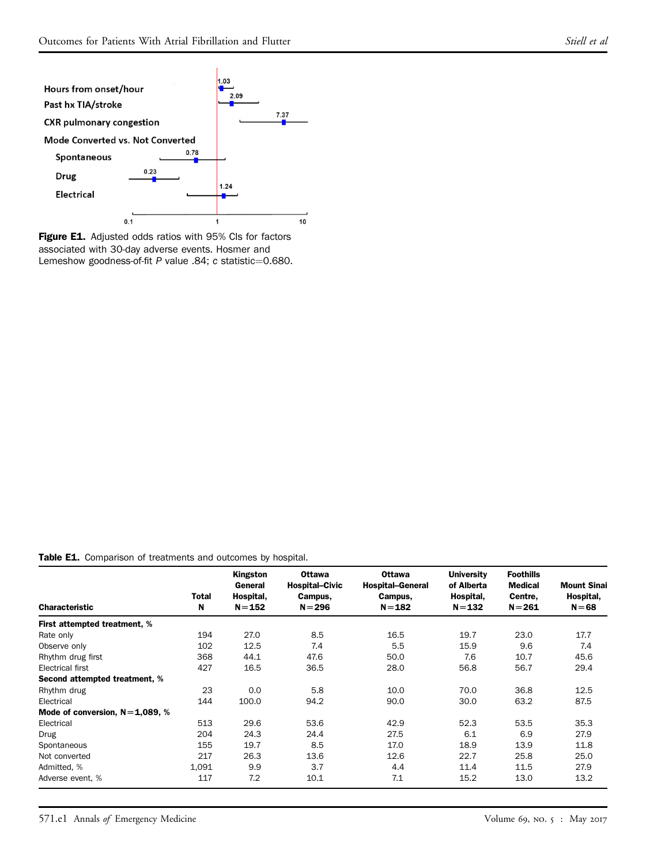<span id="page-10-1"></span>

Figure E1. Adjusted odds ratios with 95% CIs for factors associated with 30-day adverse events. Hosmer and Lemeshow goodness-of-fit P value .84; c statistic=0.680.

#### <span id="page-10-0"></span>Table E1. Comparison of treatments and outcomes by hospital.

| <b>Characteristic</b>            | Total<br>N | Kingston<br>General<br>Hospital,<br>$N = 152$ | <b>Ottawa</b><br><b>Hospital-Civic</b><br>Campus,<br>$N = 296$ | <b>Ottawa</b><br><b>Hospital-General</b><br>Campus,<br>$N = 182$ | University<br>of Alberta<br>Hospital,<br>$N = 132$ | <b>Foothills</b><br><b>Medical</b><br>Centre,<br>$N = 261$ | <b>Mount Sinai</b><br>Hospital,<br>$N = 68$ |
|----------------------------------|------------|-----------------------------------------------|----------------------------------------------------------------|------------------------------------------------------------------|----------------------------------------------------|------------------------------------------------------------|---------------------------------------------|
| First attempted treatment, %     |            |                                               |                                                                |                                                                  |                                                    |                                                            |                                             |
| Rate only                        | 194        | 27.0                                          | 8.5                                                            | 16.5                                                             | 19.7                                               | 23.0                                                       | 17.7                                        |
| Observe only                     | 102        | 12.5                                          | 7.4                                                            | 5.5                                                              | 15.9                                               | 9.6                                                        | 7.4                                         |
| Rhythm drug first                | 368        | 44.1                                          | 47.6                                                           | 50.0                                                             | 7.6                                                | 10.7                                                       | 45.6                                        |
| Electrical first                 | 427        | 16.5                                          | 36.5                                                           | 28.0                                                             | 56.8                                               | 56.7                                                       | 29.4                                        |
| Second attempted treatment, %    |            |                                               |                                                                |                                                                  |                                                    |                                                            |                                             |
| Rhythm drug                      | 23         | 0.0                                           | 5.8                                                            | 10.0                                                             | 70.0                                               | 36.8                                                       | 12.5                                        |
| Electrical                       | 144        | 100.0                                         | 94.2                                                           | 90.0                                                             | 30.0                                               | 63.2                                                       | 87.5                                        |
| Mode of conversion, $N=1,089, %$ |            |                                               |                                                                |                                                                  |                                                    |                                                            |                                             |
| Electrical                       | 513        | 29.6                                          | 53.6                                                           | 42.9                                                             | 52.3                                               | 53.5                                                       | 35.3                                        |
| <b>Drug</b>                      | 204        | 24.3                                          | 24.4                                                           | 27.5                                                             | 6.1                                                | 6.9                                                        | 27.9                                        |
| Spontaneous                      | 155        | 19.7                                          | 8.5                                                            | 17.0                                                             | 18.9                                               | 13.9                                                       | 11.8                                        |
| Not converted                    | 217        | 26.3                                          | 13.6                                                           | 12.6                                                             | 22.7                                               | 25.8                                                       | 25.0                                        |
| Admitted, %                      | 1,091      | 9.9                                           | 3.7                                                            | 4.4                                                              | 11.4                                               | 11.5                                                       | 27.9                                        |
| Adverse event. %                 | 117        | 7.2                                           | 10.1                                                           | 7.1                                                              | 15.2                                               | 13.0                                                       | 13.2                                        |